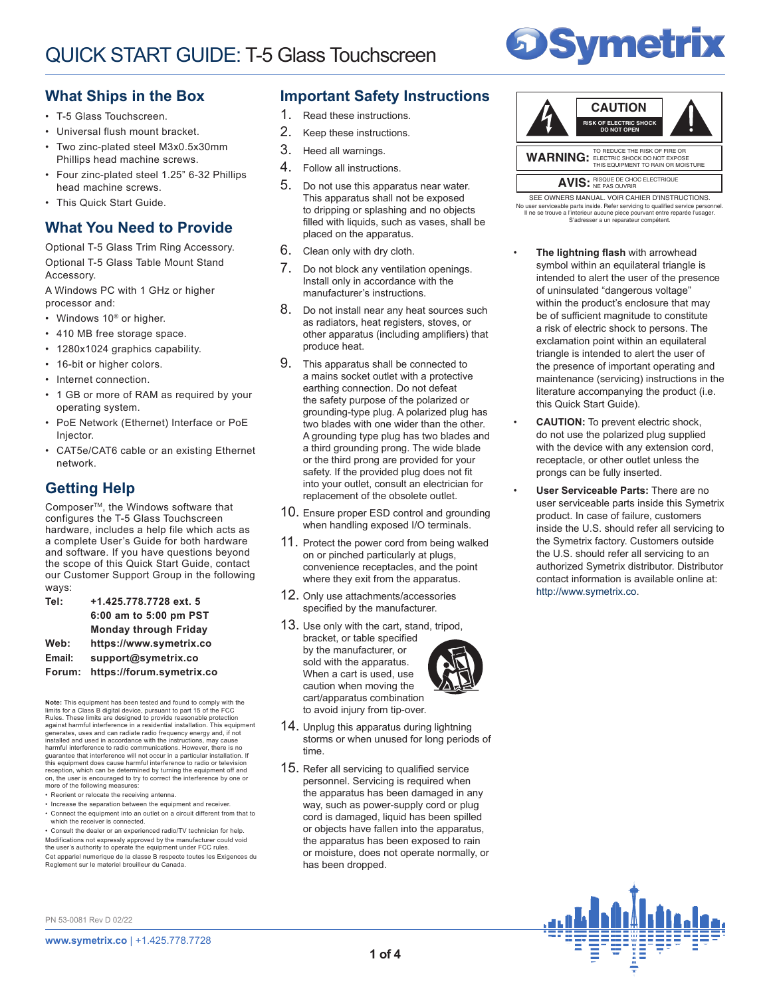# **Symetrix**

## **What Ships in the Box**

- T-5 Glass Touchscreen.
- Universal flush mount bracket.
- Two zinc-plated steel M3x0.5x30mm Phillips head machine screws.
- Four zinc-plated steel 1.25" 6-32 Phillips head machine screws.
- This Quick Start Guide.

## **What You Need to Provide**

Optional T-5 Glass Trim Ring Accessory. Optional T-5 Glass Table Mount Stand Accessory.

A Windows PC with 1 GHz or higher processor and:

- Windows 10<sup>®</sup> or higher.
- 410 MB free storage space.
- 1280x1024 graphics capability.
- 16-bit or higher colors.
- Internet connection.
- 1 GB or more of RAM as required by your operating system.
- PoE Network (Ethernet) Interface or PoE Injector.
- CAT5e/CAT6 cable or an existing Ethernet network.

# **Getting Help**

Composer<sup>™</sup>, the Windows software that configures the T-5 Glass Touchscreen hardware, includes a help file which acts as a complete User's Guide for both hardware and software. If you have questions beyond the scope of this Quick Start Guide, contact our Customer Support Group in the following ways:

| Tel:   | +1.425.778.7728 ext. 5       |
|--------|------------------------------|
|        | 6:00 am to 5:00 pm PST       |
|        | <b>Monday through Friday</b> |
| Web:   | https://www.symetrix.co      |
| Email: | support@symetrix.co          |
| Forum: | https://forum.symetrix.co    |

**Note:** This equipment has been tested and found to comply with the limits for a Class B digital device, pursuant to part 15 of the FCC<br>Rules. These limits are designed to provide reasonable protection<br>against harmful interference in a residential installation. This equipment generates, uses and can radiate radio frequency energy and, if not installed and used in accordance with the instructions, may cause harmful interference to radio communications. However, there is no guarantee that interference will not occur in a particular installation. If<br>this equipment does cause harmful interference to radio or television<br>reception, which can be determined by turning the equipment off and on, the user is encouraged to try to correct the interference by one or more of the following measures:

- Reorient or relocate the receiving antenna.
- Increase the separation between the equipment and receiver. • Connect the equipment into an outlet on a circuit different from that to which the receiver is connected.

• Consult the dealer or an experienced radio/TV technician for help. Modifications not expressly approved by the manufacturer could void the user's authority to operate the equipment under FCC rules. Cet appariel numerique de la classe B respecte toutes les Exigences du Reglement sur le materiel brouilleur du Canada.

#### **Important Safety Instructions**

- 1. Read these instructions.
- 2. Keep these instructions.
- 3. Heed all warnings.
- 4. Follow all instructions.
- 5. Do not use this apparatus near water. This apparatus shall not be exposed to dripping or splashing and no objects filled with liquids, such as vases, shall be placed on the apparatus.
- 6. Clean only with dry cloth.
- 7. Do not block any ventilation openings. Install only in accordance with the manufacturer's instructions.
- 8. Do not install near any heat sources such as radiators, heat registers, stoves, or other apparatus (including amplifiers) that produce heat.
- 9. This apparatus shall be connected to a mains socket outlet with a protective earthing connection. Do not defeat the safety purpose of the polarized or grounding-type plug. A polarized plug has two blades with one wider than the other. A grounding type plug has two blades and a third grounding prong. The wide blade or the third prong are provided for your safety. If the provided plug does not fit into your outlet, consult an electrician for replacement of the obsolete outlet.
- 10. Ensure proper ESD control and grounding when handling exposed I/O terminals.
- 11. Protect the power cord from being walked on or pinched particularly at plugs, convenience receptacles, and the point where they exit from the apparatus.
- 12. Only use attachments/accessories specified by the manufacturer.
- 13. Use only with the cart, stand, tripod, bracket, or table specified by the manufacturer, or sold with the apparatus. When a cart is used, use caution when moving the cart/apparatus combination to avoid injury from tip-over.
- 14. Unplug this apparatus during lightning storms or when unused for long periods of time.
- 15. Refer all servicing to qualified service personnel. Servicing is required when the apparatus has been damaged in any way, such as power-supply cord or plug cord is damaged, liquid has been spilled or objects have fallen into the apparatus, the apparatus has been exposed to rain or moisture, does not operate normally, or has been dropped.



Il ne se trouve a l'interieur aucune piece pourvant entre reparée l'usager. S'adresser a un reparateur compétent. SEE OWNERS MANUAL. VOIR CAHIER D'INSTRUCTIONS. No user serviceable parts inside. Refer servicing to qualified service personnel.

- **The lightning flash** with arrowhead symbol within an equilateral triangle is intended to alert the user of the presence of uninsulated "dangerous voltage" within the product's enclosure that may be of sufficient magnitude to constitute a risk of electric shock to persons. The exclamation point within an equilateral triangle is intended to alert the user of the presence of important operating and maintenance (servicing) instructions in the literature accompanying the product (i.e. this Quick Start Guide).
- **CAUTION:** To prevent electric shock, do not use the polarized plug supplied with the device with any extension cord, receptacle, or other outlet unless the prongs can be fully inserted.
- **User Serviceable Parts:** There are no user serviceable parts inside this Symetrix product. In case of failure, customers inside the U.S. should refer all servicing to the Symetrix factory. Customers outside the U.S. should refer all servicing to an authorized Symetrix distributor. Distributor contact information is available online at: http://www.symetrix.co.



PN 53-0081 Rev D 02/22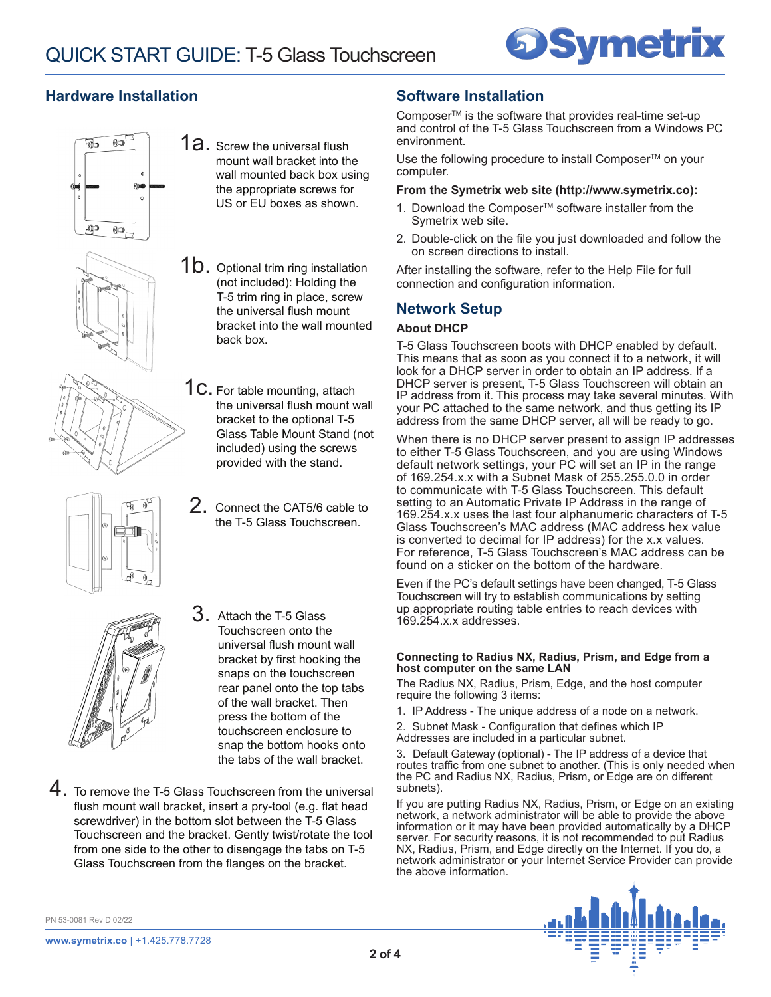

## **Hardware Installation**







mount wall bracket into the wall mounted back box using

1a. Screw the universal flush

(not included): Holding the T-5 trim ring in place, screw the universal flush mount bracket into the wall mounted back box.

1C. For table mounting, attach the universal flush mount wall bracket to the optional T-5 Glass Table Mount Stand (not included) using the screws provided with the stand.

2. Connect the CAT5/6 cable to the T-5 Glass Touchscreen.



- $3.$  Attach the T-5 Glass Touchscreen onto the universal flush mount wall bracket by first hooking the snaps on the touchscreen rear panel onto the top tabs of the wall bracket. Then press the bottom of the touchscreen enclosure to snap the bottom hooks onto the tabs of the wall bracket.
- 4. To remove the T-5 Glass Touchscreen from the universal flush mount wall bracket, insert a pry-tool (e.g. flat head screwdriver) in the bottom slot between the T-5 Glass Touchscreen and the bracket. Gently twist/rotate the tool from one side to the other to disengage the tabs on T-5 Glass Touchscreen from the flanges on the bracket.

## **Software Installation**

Composer<sup>™</sup> is the software that provides real-time set-up and control of the T-5 Glass Touchscreen from a Windows PC environment.

Use the following procedure to install Composer<sup>™</sup> on your computer.

#### **From the Symetrix web site (http://www.symetrix.co):**

- 1. Download the Composer<sup>™</sup> software installer from the Symetrix web site.
- 2. Double-click on the file you just downloaded and follow the on screen directions to install.

After installing the software, refer to the Help File for full connection and configuration information.

## **Network Setup**

#### **About DHCP**

T-5 Glass Touchscreen boots with DHCP enabled by default. This means that as soon as you connect it to a network, it will look for a DHCP server in order to obtain an IP address. If a DHCP server is present, T-5 Glass Touchscreen will obtain an IP address from it. This process may take several minutes. With your PC attached to the same network, and thus getting its IP address from the same DHCP server, all will be ready to go.

When there is no DHCP server present to assign IP addresses to either T-5 Glass Touchscreen, and you are using Windows default network settings, your PC will set an IP in the range of 169.254.x.x with a Subnet Mask of 255.255.0.0 in order to communicate with T-5 Glass Touchscreen. This default setting to an Automatic Private IP Address in the range of 169.254.x.x uses the last four alphanumeric characters of T-5 Glass Touchscreen's MAC address (MAC address hex value is converted to decimal for IP address) for the x.x values. For reference, T-5 Glass Touchscreen's MAC address can be found on a sticker on the bottom of the hardware.

Even if the PC's default settings have been changed, T-5 Glass Touchscreen will try to establish communications by setting up appropriate routing table entries to reach devices with 169.254.x.x addresses.

#### **Connecting to Radius NX, Radius, Prism, and Edge from a host computer on the same LAN**

The Radius NX, Radius, Prism, Edge, and the host computer require the following 3 items:

1. IP Address - The unique address of a node on a network.

2. Subnet Mask - Configuration that defines which IP Addresses are included in a particular subnet.

3. Default Gateway (optional) - The IP address of a device that routes traffic from one subnet to another. (This is only needed when the PC and Radius NX, Radius, Prism, or Edge are on different subnets).

If you are putting Radius NX, Radius, Prism, or Edge on an existing network, a network administrator will be able to provide the above information or it may have been provided automatically by a DHCP server. For security reasons, it is not recommended to put Radius NX, Radius, Prism, and Edge directly on the Internet. If you do, a network administrator or your Internet Service Provider can provide the above information.



PN 53-0081 Rev D 02/22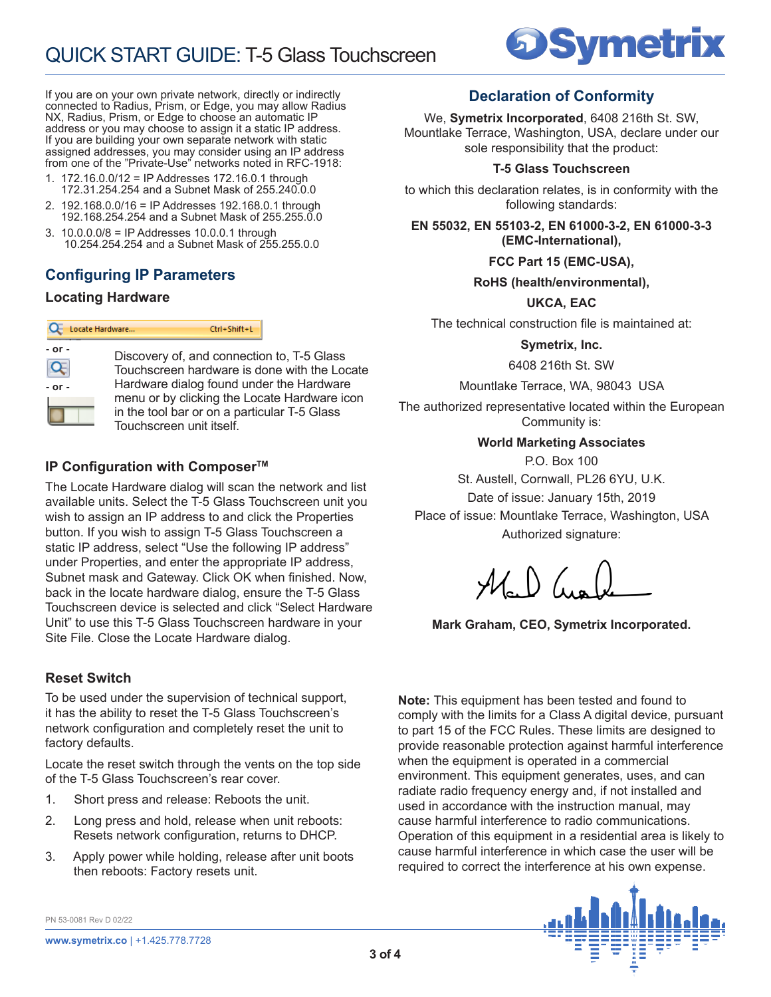

If you are on your own private network, directly or indirectly connected to Radius, Prism, or Edge, you may allow Radius NX, Radius, Prism, or Edge to choose an automatic IP address or you may choose to assign it a static IP address. If you are building your own separate network with static assigned addresses, you may consider using an IP address from one of the "Private-Use" networks noted in RFC-1918:

- 1. 172.16.0.0/12 = IP Addresses 172.16.0.1 through 172.31.254.254 and a Subnet Mask of 255.240.0.0
- 2. 192.168.0.0/16 = IP Addresses 192.168.0.1 through 192.168.254.254 and a Subnet Mask of 255.255.0.0
- 3. 10.0.0.0/8 = IP Addresses 10.0.0.1 through \_\_\_10.254.254.254 and a Subnet Mask of 255.255.0.0

# **Configuring IP Parameters**

#### **Locating Hardware**

|            | Ctrl+Shift+L<br>Locate Hardware                                                        |
|------------|----------------------------------------------------------------------------------------|
| $-$ or $-$ | Discovery of, and connection to, T-5 Glass<br>Touchscreen hardware is done with the Lo |
| $-$ or $-$ | Hardware dialog found under the Hardware<br>menu or by clicking the Locate Hardware io |
|            | in the tool bar or on a particular T-5 Glass                                           |

e with the Locate the Hardware e Hardware icon ar T-5 Glass Touchscreen unit itself.

## **IP Configuration with ComposerTM**

The Locate Hardware dialog will scan the network and list available units. Select the T-5 Glass Touchscreen unit you wish to assign an IP address to and click the Properties button. If you wish to assign T-5 Glass Touchscreen a static IP address, select "Use the following IP address" under Properties, and enter the appropriate IP address, Subnet mask and Gateway. Click OK when finished. Now, back in the locate hardware dialog, ensure the T-5 Glass Touchscreen device is selected and click "Select Hardware Unit" to use this T-5 Glass Touchscreen hardware in your Site File. Close the Locate Hardware dialog.

## **Reset Switch**

To be used under the supervision of technical support, it has the ability to reset the T-5 Glass Touchscreen's network configuration and completely reset the unit to factory defaults.

Locate the reset switch through the vents on the top side of the T-5 Glass Touchscreen's rear cover.

- 1. Short press and release: Reboots the unit.
- 2. Long press and hold, release when unit reboots: Resets network configuration, returns to DHCP.
- 3. Apply power while holding, release after unit boots then reboots: Factory resets unit.

PN 53-0081 Rev D 02/22

## **Declaration of Conformity**

We, **Symetrix Incorporated**, 6408 216th St. SW, Mountlake Terrace, Washington, USA, declare under our sole responsibility that the product:

#### **T-5 Glass Touchscreen**

to which this declaration relates, is in conformity with the following standards:

**EN 55032, EN 55103-2, EN 61000-3-2, EN 61000-3-3 (EMC-International),**

#### **FCC Part 15 (EMC-USA),**

**RoHS (health/environmental),**

#### **UKCA, EAC**

The technical construction file is maintained at:

**Symetrix, Inc.**

6408 216th St. SW

Mountlake Terrace, WA, 98043 USA

The authorized representative located within the European Community is:

#### **World Marketing Associates**

P.O. Box 100 St. Austell, Cornwall, PL26 6YU, U.K. Date of issue: January 15th, 2019 Place of issue: Mountlake Terrace, Washington, USA Authorized signature:

**Mark Graham, CEO, Symetrix Incorporated.**

**Note:** This equipment has been tested and found to comply with the limits for a Class A digital device, pursuant to part 15 of the FCC Rules. These limits are designed to provide reasonable protection against harmful interference when the equipment is operated in a commercial environment. This equipment generates, uses, and can radiate radio frequency energy and, if not installed and used in accordance with the instruction manual, may cause harmful interference to radio communications. Operation of this equipment in a residential area is likely to cause harmful interference in which case the user will be required to correct the interference at his own expense.